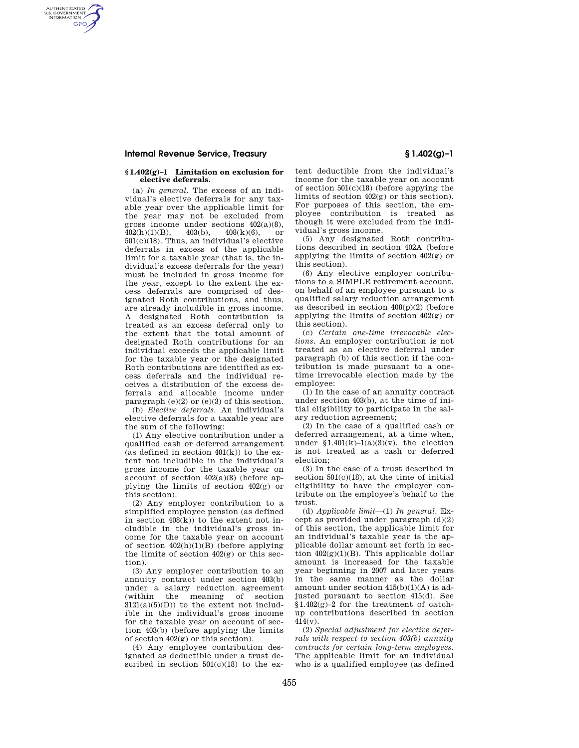## **Internal Revenue Service, Treasury § 1.402(g)–1**

AUTHENTICATED<br>U.S. GOVERNMENT<br>INFORMATION **GPO** 

#### **§ 1.402(g)–1 Limitation on exclusion for elective deferrals.**

(a) *In general.* The excess of an individual's elective deferrals for any taxable year over the applicable limit for the year may not be excluded from gross income under sections  $402(a)(8)$ ,<br> $402(h)(1)(B)$   $408(h)(6)$  or  $402(h)(1)(B)$ ,  $403(h)$ ,  $408(k)(6)$ , or 501(c)(18). Thus, an individual's elective deferrals in excess of the applicable limit for a taxable year (that is, the individual's excess deferrals for the year) must be included in gross income for the year, except to the extent the excess deferrals are comprised of designated Roth contributions, and thus, are already includible in gross income. A designated Roth contribution is treated as an excess deferral only to the extent that the total amount of designated Roth contributions for an individual exceeds the applicable limit for the taxable year or the designated Roth contributions are identified as excess deferrals and the individual receives a distribution of the excess deferrals and allocable income under paragraph (e)(2) or (e)(3) of this section.

(b) *Elective deferrals.* An individual's elective deferrals for a taxable year are the sum of the following:

(1) Any elective contribution under a qualified cash or deferred arrangement (as defined in section  $401(k)$ ) to the extent not includible in the individual's gross income for the taxable year on account of section 402(a)(8) (before applying the limits of section 402(g) or this section).

(2) Any employer contribution to a simplified employee pension (as defined in section 408(k)) to the extent not includible in the individual's gross income for the taxable year on account of section 402(h)(1)(B) (before applying the limits of section  $402(g)$  or this section).

(3) Any employer contribution to an annuity contract under section 403(b) under a salary reduction agreement (within the meaning of section  $3121(a)(5)(D)$  to the extent not includible in the individual's gross income for the taxable year on account of section 403(b) (before applying the limits of section 402(g) or this section).

(4) Any employee contribution designated as deductible under a trust described in section  $501(c)(18)$  to the extent deductible from the individual's income for the taxable year on account of section 501(c)(18) (before appying the limits of section 402(g) or this section). For purposes of this section, the employee contribution is treated as though it were excluded from the individual's gross income.

(5) Any designated Roth contributions described in section 402A (before applying the limits of section 402(g) or this section).

(6) Any elective employer contributions to a SIMPLE retirement account, on behalf of an employee pursuant to a qualified salary reduction arrangement as described in section 408(p)(2) (before applying the limits of section 402(g) or this section).

(c) *Certain one-time irrevocable elections.* An employer contribution is not treated as an elective deferral under paragraph (b) of this section if the contribution is made pursuant to a onetime irrevocable election made by the employee:

(1) In the case of an annuity contract under section 403(b), at the time of initial eligibility to participate in the salary reduction agreement;

(2) In the case of a qualified cash or deferred arrangement, at a time when, under  $$1.401(k)-1(a)(3)(v)$ , the election is not treated as a cash or deferred election;

(3) In the case of a trust described in section  $501(c)(18)$ , at the time of initial eligibility to have the employer contribute on the employee's behalf to the trust.

(d) *Applicable limit*—(1) *In general.* Except as provided under paragraph  $(d)(2)$ of this section, the applicable limit for an individual's taxable year is the applicable dollar amount set forth in section  $402(g)(1)(B)$ . This applicable dollar amount is increased for the taxable year beginning in 2007 and later years in the same manner as the dollar amount under section 415(b)(1)(A) is adjusted pursuant to section 415(d). See §1.402(g)–2 for the treatment of catchup contributions described in section  $414(y)$ .

(2) *Special adjustment for elective deferrals with respect to section 403(b) annuity contracts for certain long-term employees.*  The applicable limit for an individual who is a qualified employee (as defined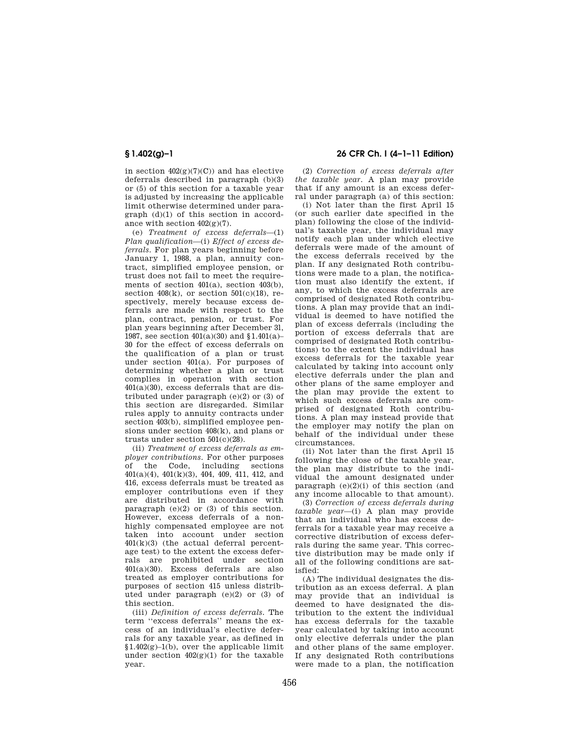in section  $402(g)(7)(C)$  and has elective deferrals described in paragraph (b)(3) or (5) of this section for a taxable year is adjusted by increasing the applicable limit otherwise determined under paragraph (d)(1) of this section in accordance with section 402(g)(7).

(e) *Treatment of excess deferrals*—(1) *Plan qualification*—(i) *Effect of excess deferrals.* For plan years beginning before January 1, 1988, a plan, annuity contract, simplified employee pension, or trust does not fail to meet the requirements of section 401(a), section 403(b), section  $408(k)$ , or section  $501(c)(18)$ , respectively, merely because excess deferrals are made with respect to the plan, contract, pension, or trust. For plan years beginning after December 3l, 1987, see section 401(a)(30) and §1.401(a)– 30 for the effect of excess deferrals on the qualification of a plan or trust under section 401(a). For purposes of determining whether a plan or trust complies in operation with section 401(a)(30), excess deferrals that are distributed under paragraph (e)(2) or (3) of this section are disregarded. Similar rules apply to annuity contracts under section 403(b), simplified employee pensions under section 408(k), and plans or trusts under section 501(c)(28).

(ii) *Treatment of excess deferrals as employer contributions.* For other purposes of the Code including sections the Code, including sections 401(a)(4), 401(k)(3), 404, 409, 411, 412, and 416, excess deferrals must be treated as employer contributions even if they are distributed in accordance with paragraph  $(e)(2)$  or  $(3)$  of this section. However, excess deferrals of a nonhighly compensated employee are not taken into account under section 401(k)(3) (the actual deferral percentage test) to the extent the excess deferrals are prohibited under section 401(a)(30). Excess deferrals are also treated as employer contributions for purposes of section 415 unless distributed under paragraph (e)(2) or (3) of this section.

(iii) *Definition of excess deferrals.* The term ''excess deferrals'' means the excess of an individual's elective deferrals for any taxable year, as defined in  $$1.402(g)-1(b)$ , over the applicable limit under section 402(g)(1) for the taxable year.

# **§ 1.402(g)–1 26 CFR Ch. I (4–1–11 Edition)**

(2) *Correction of excess deferrals after the taxable year.* A plan may provide that if any amount is an excess deferral under paragraph (a) of this section:

(i) Not later than the first April 15 (or such earlier date specified in the plan) following the close of the individual's taxable year, the individual may notify each plan under which elective deferrals were made of the amount of the excess deferrals received by the plan. If any designated Roth contributions were made to a plan, the notification must also identify the extent, if any, to which the excess deferrals are comprised of designated Roth contributions. A plan may provide that an individual is deemed to have notified the plan of excess deferrals (including the portion of excess deferrals that are comprised of designated Roth contributions) to the extent the individual has excess deferrals for the taxable year calculated by taking into account only elective deferrals under the plan and other plans of the same employer and the plan may provide the extent to which such excess deferrals are comprised of designated Roth contributions. A plan may instead provide that the employer may notify the plan on behalf of the individual under these circumstances.

(ii) Not later than the first April 15 following the close of the taxable year, the plan may distribute to the individual the amount designated under paragraph  $(e)(2)(i)$  of this section (and any income allocable to that amount).

(3) *Correction of excess deferrals during taxable year*—(i) A plan may provide that an individual who has excess deferrals for a taxable year may receive a corrective distribution of excess deferrals during the same year. This corrective distribution may be made only if all of the following conditions are satisfied:

(A) The individual designates the distribution as an excess deferral. A plan may provide that an individual is deemed to have designated the distribution to the extent the individual has excess deferrals for the taxable year calculated by taking into account only elective deferrals under the plan and other plans of the same employer. If any designated Roth contributions were made to a plan, the notification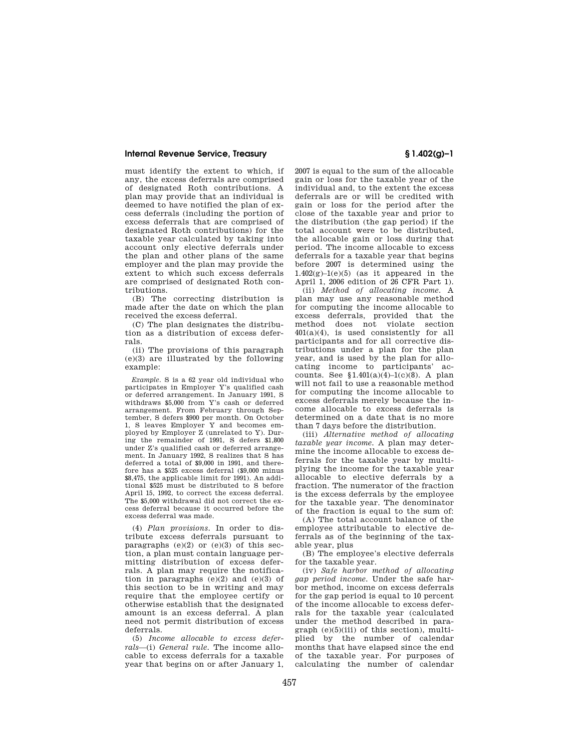### **Internal Revenue Service, Treasury § 1.402(g)–1**

must identify the extent to which, if any, the excess deferrals are comprised of designated Roth contributions. A plan may provide that an individual is deemed to have notified the plan of excess deferrals (including the portion of excess deferrals that are comprised of designated Roth contributions) for the taxable year calculated by taking into account only elective deferrals under the plan and other plans of the same employer and the plan may provide the extent to which such excess deferrals are comprised of designated Roth contributions.

(B) The correcting distribution is made after the date on which the plan received the excess deferral.

(C) The plan designates the distribution as a distribution of excess deferrals.

(ii) The provisions of this paragraph (e)(3) are illustrated by the following example:

*Example.* S is a 62 year old individual who participates in Employer Y's qualified cash or deferred arrangement. In January 1991, S withdraws \$5,000 from Y's cash or deferred arrangement. From February through September, S defers \$900 per month. On October 1, S leaves Employer Y and becomes employed by Employer Z (unrelated to Y). During the remainder of 1991, S defers \$1,800 under Z's qualified cash or deferred arrangement. In January 1992, S realizes that S has deferred a total of \$9,000 in 1991, and therefore has a \$525 excess deferral (\$9,000 minus \$8,475, the applicable limit for 1991). An additional \$525 must be distributed to S before April 15, 1992, to correct the excess deferral. The \$5,000 withdrawal did not correct the excess deferral because it occurred before the excess deferral was made.

(4) *Plan provisions.* In order to distribute excess deferrals pursuant to paragraphs  $(e)(2)$  or  $(e)(3)$  of this section, a plan must contain language permitting distribution of excess deferrals. A plan may require the notification in paragraphs  $(e)(2)$  and  $(e)(3)$  of this section to be in writing and may require that the employee certify or otherwise establish that the designated amount is an excess deferral. A plan need not permit distribution of excess deferrals.

(5) *Income allocable to excess deferrals*—(i) *General rule.* The income allocable to excess deferrals for a taxable year that begins on or after January 1, 2007 is equal to the sum of the allocable gain or loss for the taxable year of the individual and, to the extent the excess deferrals are or will be credited with gain or loss for the period after the close of the taxable year and prior to the distribution (the gap period) if the total account were to be distributed, the allocable gain or loss during that period. The income allocable to excess deferrals for a taxable year that begins before 2007 is determined using the  $1.402(g)-1(e)(5)$  (as it appeared in the April 1, 2006 edition of 26 CFR Part 1).

(ii) *Method of allocating income.* A plan may use any reasonable method for computing the income allocable to excess deferrals, provided that the method does not violate section 401(a)(4), is used consistently for all participants and for all corrective distributions under a plan for the plan year, and is used by the plan for allocating income to participants' accounts. See  $$1.401(a)(4)-1(c)(8)$ . A plan will not fail to use a reasonable method for computing the income allocable to excess deferrals merely because the income allocable to excess deferrals is determined on a date that is no more than 7 days before the distribution.

(iii) *Alternative method of allocating taxable year income.* A plan may determine the income allocable to excess deferrals for the taxable year by multiplying the income for the taxable year allocable to elective deferrals by a fraction. The numerator of the fraction is the excess deferrals by the employee for the taxable year. The denominator of the fraction is equal to the sum of:

(A) The total account balance of the employee attributable to elective deferrals as of the beginning of the taxable year, plus

(B) The employee's elective deferrals for the taxable year.

(iv) *Safe harbor method of allocating gap period income.* Under the safe harbor method, income on excess deferrals for the gap period is equal to 10 percent of the income allocable to excess deferrals for the taxable year (calculated under the method described in para $graph (e)(5)(iii)$  of this section), multiplied by the number of calendar months that have elapsed since the end of the taxable year. For purposes of calculating the number of calendar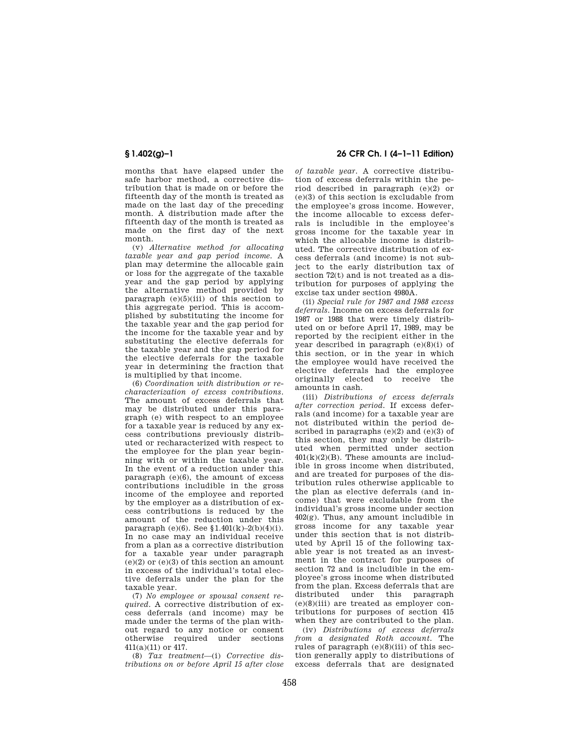months that have elapsed under the safe harbor method, a corrective distribution that is made on or before the fifteenth day of the month is treated as made on the last day of the preceding month. A distribution made after the fifteenth day of the month is treated as made on the first day of the next month.

(v) *Alternative method for allocating taxable year and gap period income.* A plan may determine the allocable gain or loss for the aggregate of the taxable year and the gap period by applying the alternative method provided by paragraph  $(e)(5)(iii)$  of this section to this aggregate period. This is accomplished by substituting the income for the taxable year and the gap period for the income for the taxable year and by substituting the elective deferrals for the taxable year and the gap period for the elective deferrals for the taxable year in determining the fraction that is multiplied by that income.

(6) *Coordination with distribution or recharacterization of excess contributions.*  The amount of excess deferrals that may be distributed under this paragraph (e) with respect to an employee for a taxable year is reduced by any excess contributions previously distributed or recharacterized with respect to the employee for the plan year beginning with or within the taxable year. In the event of a reduction under this paragraph (e)(6), the amount of excess contributions includible in the gross income of the employee and reported by the employer as a distribution of excess contributions is reduced by the amount of the reduction under this paragraph (e)(6). See  $$1.401(k)-2(b)(4)(i)$ . In no case may an individual receive from a plan as a corrective distribution for a taxable year under paragraph  $(e)(2)$  or  $(e)(3)$  of this section an amount in excess of the individual's total elective deferrals under the plan for the taxable year.

(7) *No employee or spousal consent required.* A corrective distribution of excess deferrals (and income) may be made under the terms of the plan without regard to any notice or consent otherwise required under sections 411(a)(11) or 417.

(8) *Tax treatment*—(i) *Corrective distributions on or before April 15 after close* 

## **§ 1.402(g)–1 26 CFR Ch. I (4–1–11 Edition)**

*of taxable year.* A corrective distribution of excess deferrals within the period described in paragraph (e)(2) or (e)(3) of this section is excludable from the employee's gross income. However, the income allocable to excess deferrals is includible in the employee's gross income for the taxable year in which the allocable income is distributed. The corrective distribution of excess deferrals (and income) is not subject to the early distribution tax of section 72(t) and is not treated as a distribution for purposes of applying the excise tax under section 4980A.

(ii) *Special rule for 1987 and 1988 excess deferrals.* Income on excess deferrals for 1987 or 1988 that were timely distributed on or before April 17, 1989, may be reported by the recipient either in the year described in paragraph (e)(8)(i) of this section, or in the year in which the employee would have received the elective deferrals had the employee originally elected to receive the amounts in cash.

(iii) *Distributions of excess deferrals after correction period.* If excess deferrals (and income) for a taxable year are not distributed within the period described in paragraphs  $(e)(2)$  and  $(e)(3)$  of this section, they may only be distributed when permitted under section  $401(k)(2)(B)$ . These amounts are includible in gross income when distributed, and are treated for purposes of the distribution rules otherwise applicable to the plan as elective deferrals (and income) that were excludable from the individual's gross income under section 402(g). Thus, any amount includible in gross income for any taxable year under this section that is not distributed by April 15 of the following taxable year is not treated as an investment in the contract for purposes of section 72 and is includible in the employee's gross income when distributed from the plan. Excess deferrals that are distributed under this paragraph (e)(8)(iii) are treated as employer contributions for purposes of section 415 when they are contributed to the plan.

(iv) *Distributions of excess deferrals from a designated Roth account.* The rules of paragraph (e)(8)(iii) of this section generally apply to distributions of excess deferrals that are designated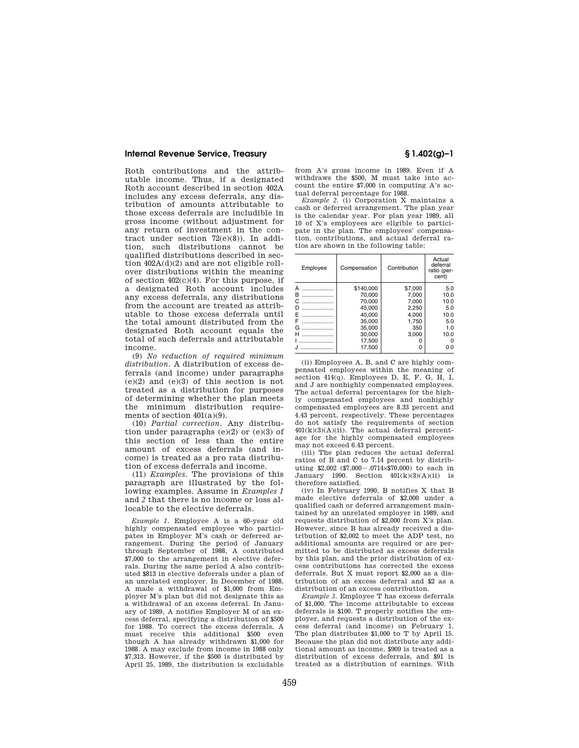### **Internal Revenue Service, Treasury § 1.402(g)–1**

Roth contributions and the attributable income. Thus, if a designated Roth account described in section 402A includes any excess deferrals, any distribution of amounts attributable to those excess deferrals are includible in gross income (without adjustment for any return of investment in the contract under section 72(e)(8)). In addition, such distributions cannot be qualified distributions described in section 402A(d)(2) and are not eligible rollover distributions within the meaning of section 402(c)(4). For this purpose, if a designated Roth account includes any excess deferrals, any distributions from the account are treated as attributable to those excess deferrals until the total amount distributed from the designated Roth account equals the total of such deferrals and attributable income.

(9) *No reduction of required minimum distribution.* A distribution of excess deferrals (and income) under paragraphs (e)(2) and (e)(3) of this section is not treated as a distribution for purposes of determining whether the plan meets the minimum distribution requirements of section 401(a)(9).

(10) *Partial correction.* Any distribution under paragraphs  $(e)(2)$  or  $(e)(3)$  of this section of less than the entire amount of excess deferrals (and income) is treated as a pro rata distribution of excess deferrals and income.

(11) *Examples.* The provisions of this paragraph are illustrated by the following examples. Assume in *Examples 1*  and *2* that there is no income or loss allocable to the elective deferrals.

*Example 1.* Employee A is a 60-year old highly compensated employee who participates in Employer M's cash or deferred arrangement. During the period of January through September of 1988, A contributed \$7,000 to the arrangement in elective deferrals. During the same period A also contributed \$813 in elective deferrals under a plan of an unrelated employer. In December of 1988, A made a withdrawal of \$1,000 from Employer M's plan but did not designate this as a withdrawal of an excess deferral. In January of 1989, A notifies Employer M of an excess deferral, specifying a distribution of \$500 for 1988. To correct the excess deferrals, A must receive this additional \$500 even though A has already withdrawn \$1,000 for 1988. A may exclude from income in 1988 only \$7,313. However, if the \$500 is distributed by April 25, 1989, the distribution is excludable

from A's gross income in 1989. Even if A withdraws the \$500, M must take into account the entire \$7,000 in computing A's actual deferral percentage for 1988.

*Example 2.* (i) Corporation X maintains a cash or deferred arrangement. The plan year is the calendar year. For plan year 1989, all 10 of X's employees are eligible to participate in the plan. The employees' compensation, contributions, and actual deferral ratios are shown in the following table:

| Employee | Compensation | Contribution | Actual<br>deferral<br>ratio (per-<br>cent) |
|----------|--------------|--------------|--------------------------------------------|
| А        | \$140,000    | \$7,000      | 5.0                                        |
| в        | 70.000       | 7.000        | 10.0                                       |
| C        | 70.000       | 7.000        | 10.0                                       |
| D        | 45.000       | 2.250        | 5.0                                        |
| F        | 40.000       | 4.000        | 10.0                                       |
| F        | 35,000       | 1.750        | 5.0                                        |
| G        | 35.000       | 350          | 1.0                                        |
| н        | 30.000       | 3.000        | 10.0                                       |
|          | 17.500       | O            |                                            |
|          | 17.500       | Ω            | 0.0                                        |

(ii) Employees A, B, and C are highly compensated employees within the meaning of section  $414(a)$ . Employees D, E, F, G, H, I, and J are nonhighly compensated employees. The actual deferral percentages for the highly compensated employees and nonhighly compensated employees are 8.33 percent and 4.43 percent, respectively. These percentages do not satisfy the requirements of section  $401(k)(3)(A)(ii)$ . The actual deferral percentage for the highly compensated employees may not exceed 6.43 percent.

(iii) The plan reduces the actual deferral ratios of B and C to 7.14 percent by distributing  $$2,002$   $($7,000-.0714×$70,000)$  to each in January 1990. Section  $401(k)(3)(A)(ii)$  is therefore satisfied.

(iv) In February 1990, B notifies X that B made elective deferrals of \$2,000 under a qualified cash or deferred arrangement maintained by an unrelated employer in 1989, and requests distribution of \$2,000 from X's plan. However, since B has already received a distribution of \$2,002 to meet the ADP test, no additional amounts are required or are permitted to be distributed as excess deferrals by this plan, and the prior distribution of excess contributions has corrected the excess deferrals. But X must report \$2,000 as a distribution of an excess deferral and \$2 as a distribution of an excess contribution.

*Example 3.* Employee T has excess deferrals of \$1,000. The income attributable to excess deferrals is \$100. T properly notifies the employer, and requests a distribution of the excess deferral (and income) on February 1. The plan distributes \$1,000 to T by April 15. Because the plan did not distribute any additional amount as income, \$909 is treated as a distribution of excess deferrals, and \$91 is treated as a distribution of earnings. With